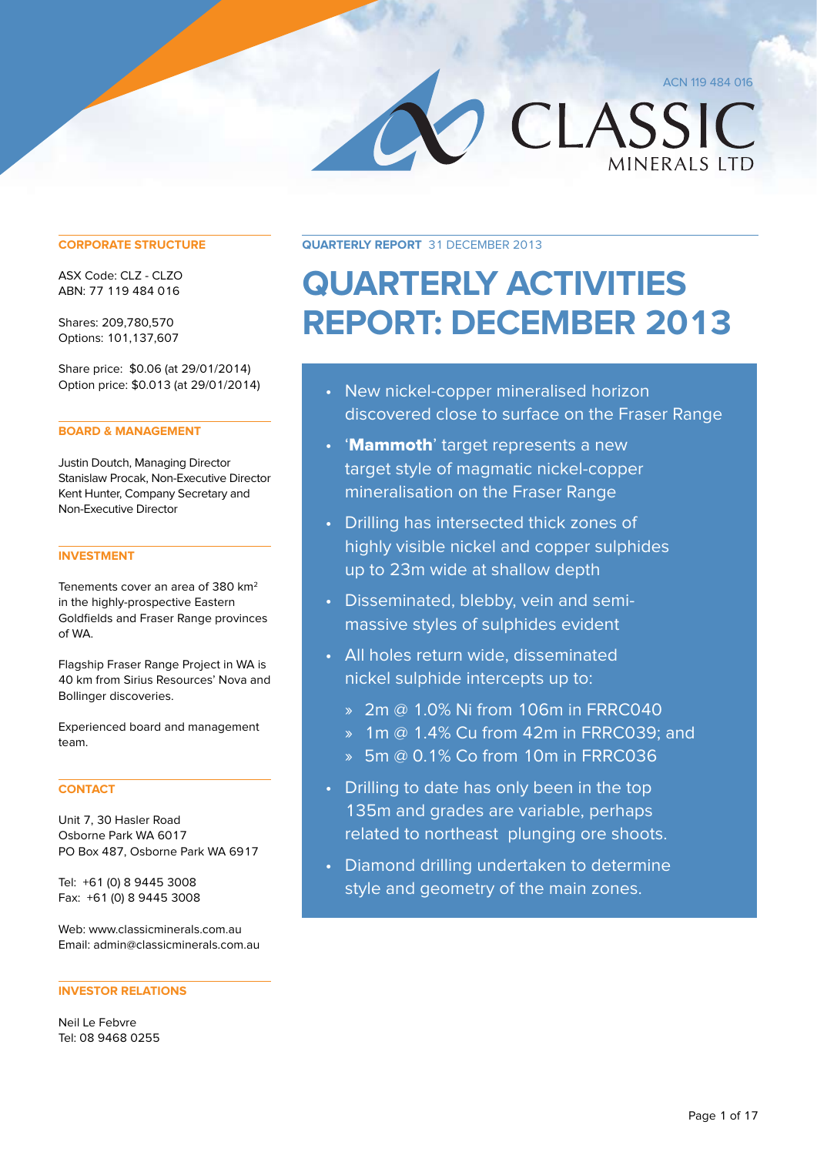**MINERALS LTD** 

CLASSIC

**CORPORATE STRUCTURE**

ASX Code: CLZ - CLZO ABN: 77 119 484 016

Shares: 209,780,570 Options: 101,137,607

Share price: \$0.06 (at 29/01/2014) Option price: \$0.013 (at 29/01/2014)

### **BOARD & MANAGEMENT**

Justin Doutch, Managing Director Stanislaw Procak, Non-Executive Director Kent Hunter, Company Secretary and Non-Executive Director

## **INVESTMENT**

Tenements cover an area of 380 km<sup>2</sup> in the highly-prospective Eastern Goldfields and Fraser Range provinces of WA.

Flagship Fraser Range Project in WA is 40 km from Sirius Resources' Nova and Bollinger discoveries.

Experienced board and management team.

### **CONTACT**

Unit 7, 30 Hasler Road Osborne Park WA 6017 PO Box 487, Osborne Park WA 6917

Tel: +61 (0) 8 9445 3008 Fax: +61 (0) 8 9445 3008

Web: www.classicminerals.com.au Email: admin@classicminerals.com.au

### **INVESTOR RELATIONS**

Neil Le Febvre Tel: 08 9468 0255 **Quarterly Report** 31 December 2013

# **QUARTERLY ACTIVITIES REPORT: December 2013**

- New nickel-copper mineralised horizon discovered close to surface on the Fraser Range
- 'Mammoth' target represents a new target style of magmatic nickel-copper mineralisation on the Fraser Range
- • Drilling has intersected thick zones of highly visible nickel and copper sulphides up to 23m wide at shallow depth
- • Disseminated, blebby, vein and semimassive styles of sulphides evident
- • All holes return wide, disseminated nickel sulphide intercepts up to:
	- » 2m @ 1.0% Ni from 106m in FRRC040
	- $\lambda$  1m @ 1.4% Cu from 42m in FRRC039; and
	- » 5m @ 0.1% Co from 10m in FRRC036
- Drilling to date has only been in the top 135m and grades are variable, perhaps related to northeast plunging ore shoots.
- Diamond drilling undertaken to determine style and geometry of the main zones.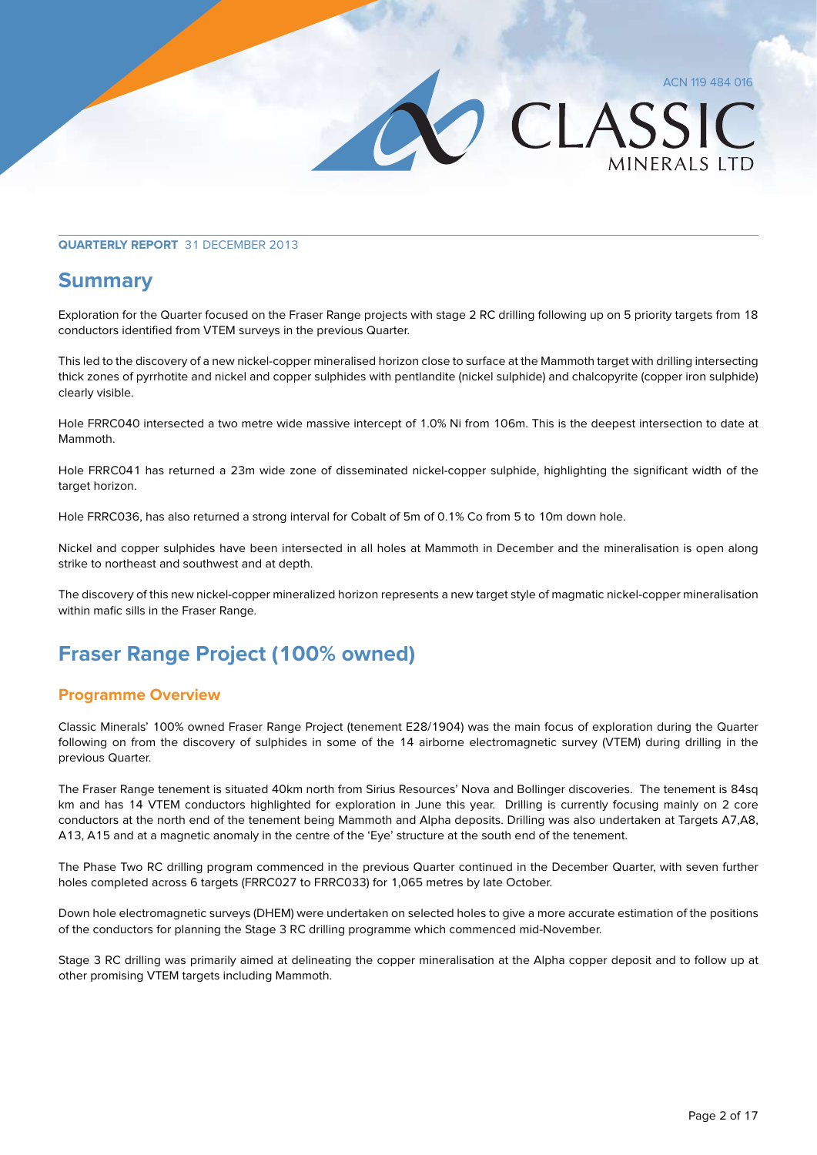**MINERALS LTD** 

 $C<sub>L</sub>$  ASSI

## **Quarterly Report** 31 December 2013

# **Summary**

Exploration for the Quarter focused on the Fraser Range projects with stage 2 RC drilling following up on 5 priority targets from 18 conductors identified from VTEM surveys in the previous Quarter.

This led to the discovery of a new nickel-copper mineralised horizon close to surface at the Mammoth target with drilling intersecting thick zones of pyrrhotite and nickel and copper sulphides with pentlandite (nickel sulphide) and chalcopyrite (copper iron sulphide) clearly visible.

Hole FRRC040 intersected a two metre wide massive intercept of 1.0% Ni from 106m. This is the deepest intersection to date at Mammoth.

Hole FRRC041 has returned a 23m wide zone of disseminated nickel-copper sulphide, highlighting the significant width of the target horizon.

Hole FRRC036, has also returned a strong interval for Cobalt of 5m of 0.1% Co from 5 to 10m down hole.

Nickel and copper sulphides have been intersected in all holes at Mammoth in December and the mineralisation is open along strike to northeast and southwest and at depth.

The discovery of this new nickel-copper mineralized horizon represents a new target style of magmatic nickel-copper mineralisation within mafic sills in the Fraser Range.

# **Fraser Range Project (100% owned)**

# **Programme Overview**

Classic Minerals' 100% owned Fraser Range Project (tenement E28/1904) was the main focus of exploration during the Quarter following on from the discovery of sulphides in some of the 14 airborne electromagnetic survey (VTEM) during drilling in the previous Quarter.

The Fraser Range tenement is situated 40km north from Sirius Resources' Nova and Bollinger discoveries. The tenement is 84sq km and has 14 VTEM conductors highlighted for exploration in June this year. Drilling is currently focusing mainly on 2 core conductors at the north end of the tenement being Mammoth and Alpha deposits. Drilling was also undertaken at Targets A7,A8, A13, A15 and at a magnetic anomaly in the centre of the 'Eye' structure at the south end of the tenement.

The Phase Two RC drilling program commenced in the previous Quarter continued in the December Quarter, with seven further holes completed across 6 targets (FRRC027 to FRRC033) for 1,065 metres by late October.

Down hole electromagnetic surveys (DHEM) were undertaken on selected holes to give a more accurate estimation of the positions of the conductors for planning the Stage 3 RC drilling programme which commenced mid-November.

Stage 3 RC drilling was primarily aimed at delineating the copper mineralisation at the Alpha copper deposit and to follow up at other promising VTEM targets including Mammoth.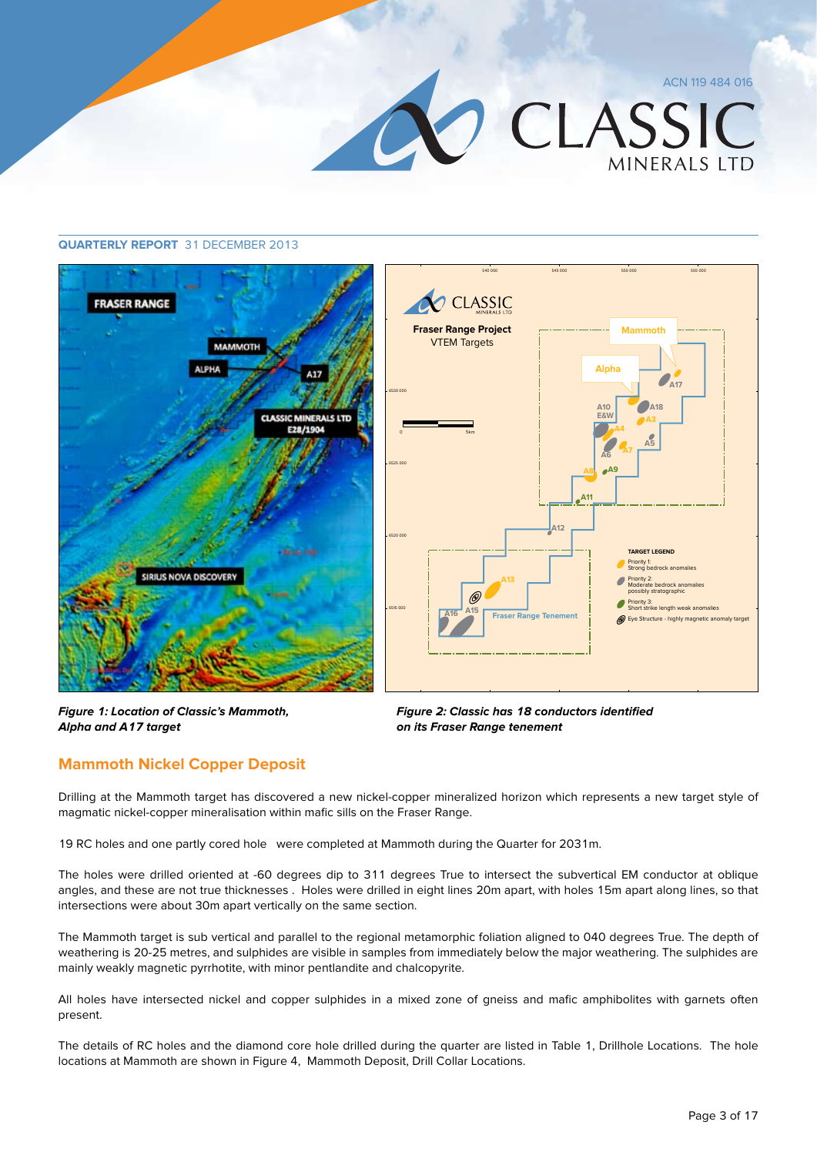



**Figure 1: Location of Classic's Mammoth, Alpha and A17 target**



# **Mammoth Nickel Copper Deposit**

Drilling at the Mammoth target has discovered a new nickel-copper mineralized horizon which represents a new target style of magmatic nickel-copper mineralisation within mafic sills on the Fraser Range.

19 RC holes and one partly cored hole were completed at Mammoth during the Quarter for 2031m.

The holes were drilled oriented at -60 degrees dip to 311 degrees True to intersect the subvertical EM conductor at oblique angles, and these are not true thicknesses . Holes were drilled in eight lines 20m apart, with holes 15m apart along lines, so that intersections were about 30m apart vertically on the same section.

The Mammoth target is sub vertical and parallel to the regional metamorphic foliation aligned to 040 degrees True. The depth of weathering is 20-25 metres, and sulphides are visible in samples from immediately below the major weathering. The sulphides are mainly weakly magnetic pyrrhotite, with minor pentlandite and chalcopyrite.

All holes have intersected nickel and copper sulphides in a mixed zone of gneiss and mafic amphibolites with garnets often present.

The details of RC holes and the diamond core hole drilled during the quarter are listed in Table 1, Drillhole Locations. The hole locations at Mammoth are shown in Figure 4, Mammoth Deposit, Drill Collar Locations.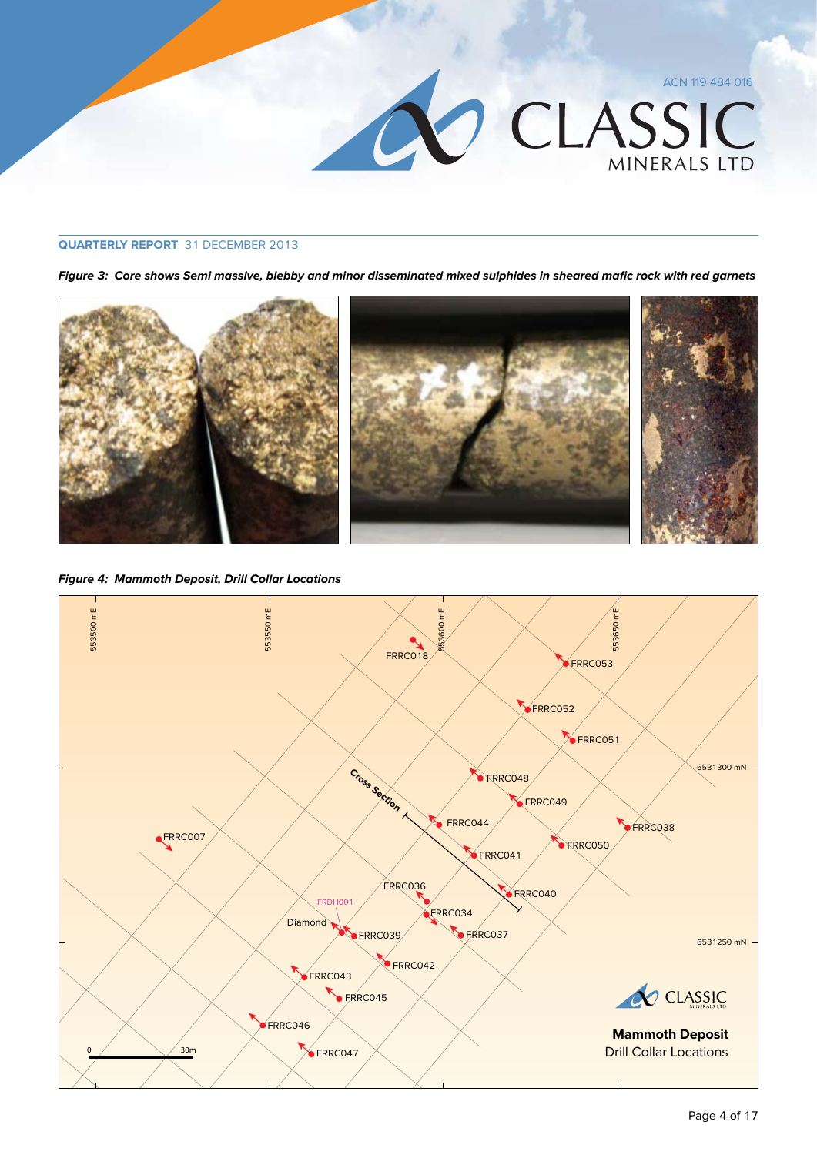

**Figure 3: Core shows Semi massive, blebby and minor disseminated mixed sulphides in sheared mafic rock with red garnets**



**Figure 4: Mammoth Deposit, Drill Collar Locations**

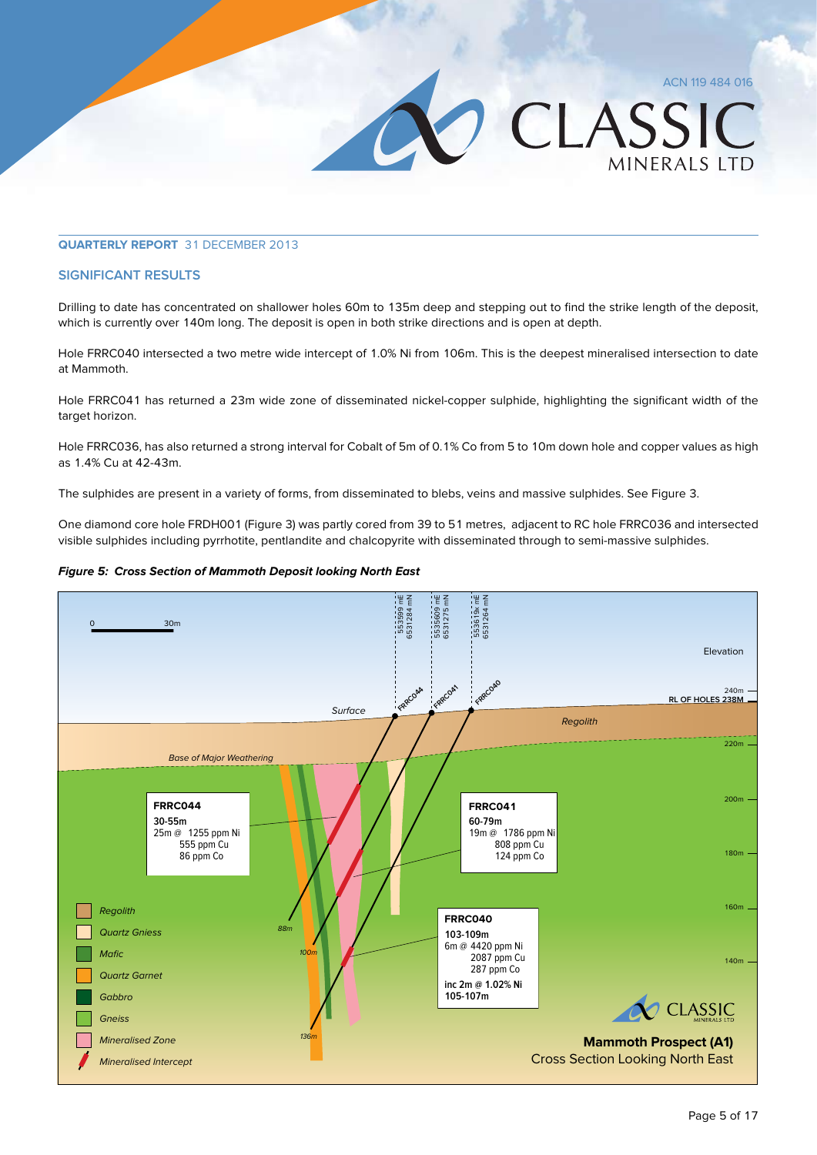### **Significant results**

Drilling to date has concentrated on shallower holes 60m to 135m deep and stepping out to find the strike length of the deposit, which is currently over 140m long. The deposit is open in both strike directions and is open at depth.

Hole FRRC040 intersected a two metre wide intercept of 1.0% Ni from 106m. This is the deepest mineralised intersection to date at Mammoth.

Hole FRRC041 has returned a 23m wide zone of disseminated nickel-copper sulphide, highlighting the significant width of the target horizon.

Hole FRRC036, has also returned a strong interval for Cobalt of 5m of 0.1% Co from 5 to 10m down hole and copper values as high as 1.4% Cu at 42-43m.

The sulphides are present in a variety of forms, from disseminated to blebs, veins and massive sulphides. See Figure 3.

One diamond core hole FRDH001 (Figure 3) was partly cored from 39 to 51 metres, adjacent to RC hole FRRC036 and intersected visible sulphides including pyrrhotite, pentlandite and chalcopyrite with disseminated through to semi-massive sulphides.





ACN 119 484 016

MINFRAIS ITD

CLASSIC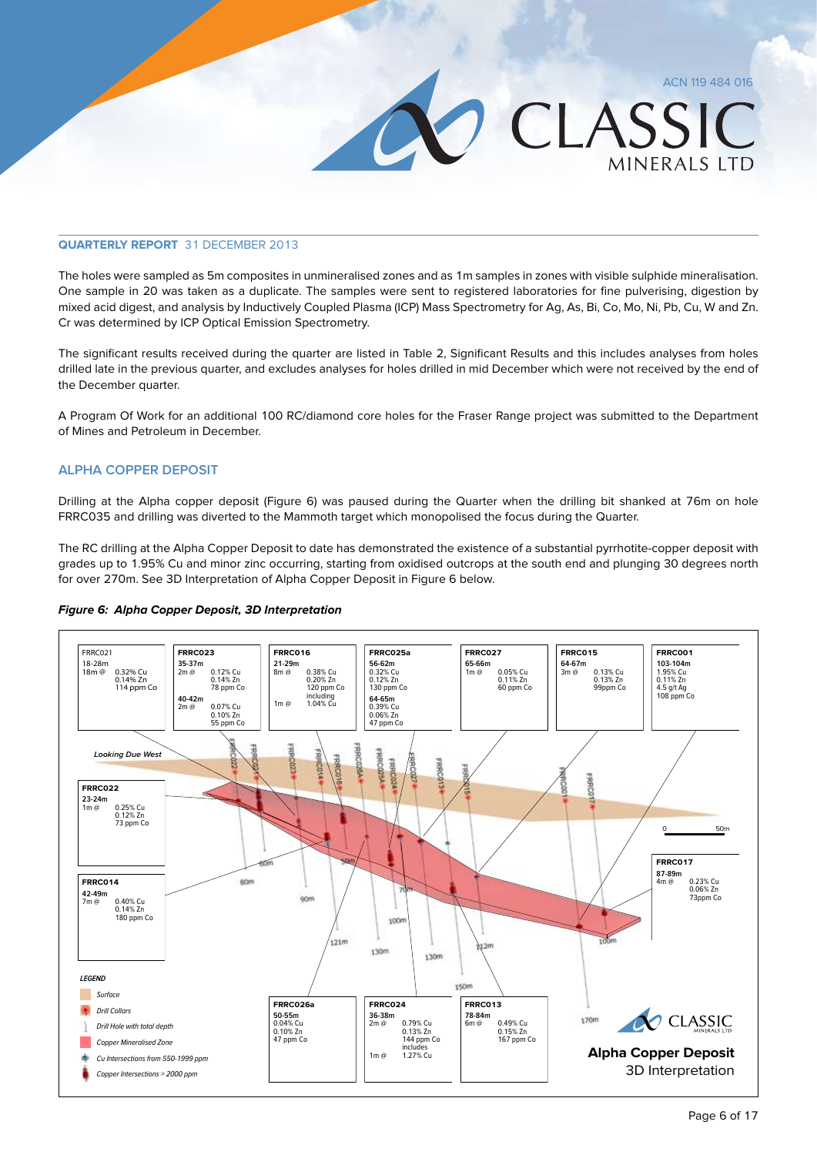**MINFRALS LTD** 

CLASSIC

### **Quarterly Report** 31 December 2013

The holes were sampled as 5m composites in unmineralised zones and as 1m samples in zones with visible sulphide mineralisation. One sample in 20 was taken as a duplicate. The samples were sent to registered laboratories for fine pulverising, digestion by mixed acid digest, and analysis by Inductively Coupled Plasma (ICP) Mass Spectrometry for Ag, As, Bi, Co, Mo, Ni, Pb, Cu, W and Zn. Cr was determined by ICP Optical Emission Spectrometry.

The significant results received during the quarter are listed in Table 2, Significant Results and this includes analyses from holes drilled late in the previous quarter, and excludes analyses for holes drilled in mid December which were not received by the end of the December quarter.

A Program Of Work for an additional 100 RC/diamond core holes for the Fraser Range project was submitted to the Department of Mines and Petroleum in December.

### **Alpha Copper Deposit**

Drilling at the Alpha copper deposit (Figure 6) was paused during the Quarter when the drilling bit shanked at 76m on hole FRRC035 and drilling was diverted to the Mammoth target which monopolised the focus during the Quarter.

The RC drilling at the Alpha Copper Deposit to date has demonstrated the existence of a substantial pyrrhotite-copper deposit with grades up to 1.95% Cu and minor zinc occurring, starting from oxidised outcrops at the south end and plunging 30 degrees north for over 270m. See 3D Interpretation of Alpha Copper Deposit in Figure 6 below.



### **Figure 6: Alpha Copper Deposit, 3D Interpretation**

0 50m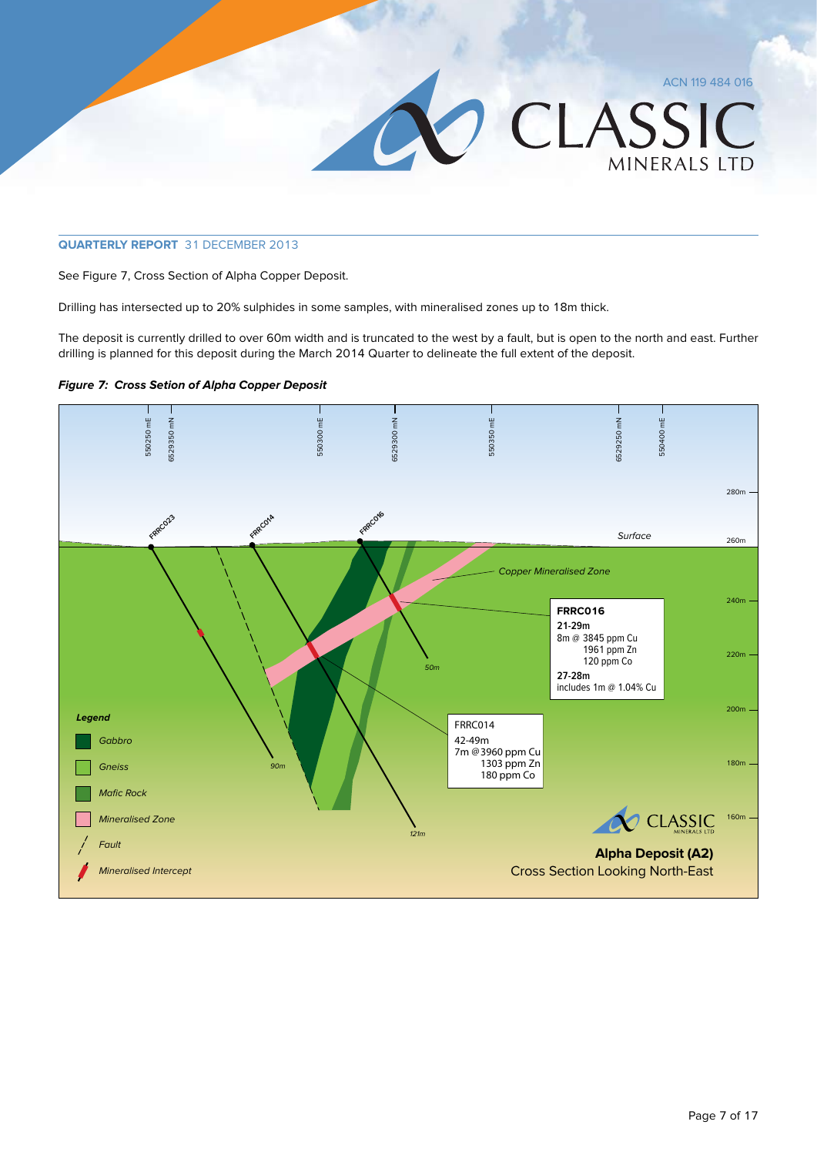

See Figure 7, Cross Section of Alpha Copper Deposit.

Drilling has intersected up to 20% sulphides in some samples, with mineralised zones up to 18m thick.

The deposit is currently drilled to over 60m width and is truncated to the west by a fault, but is open to the north and east. Further drilling is planned for this deposit during the March 2014 Quarter to delineate the full extent of the deposit.

**Figure 7: Cross Setion of Alpha Copper Deposit**

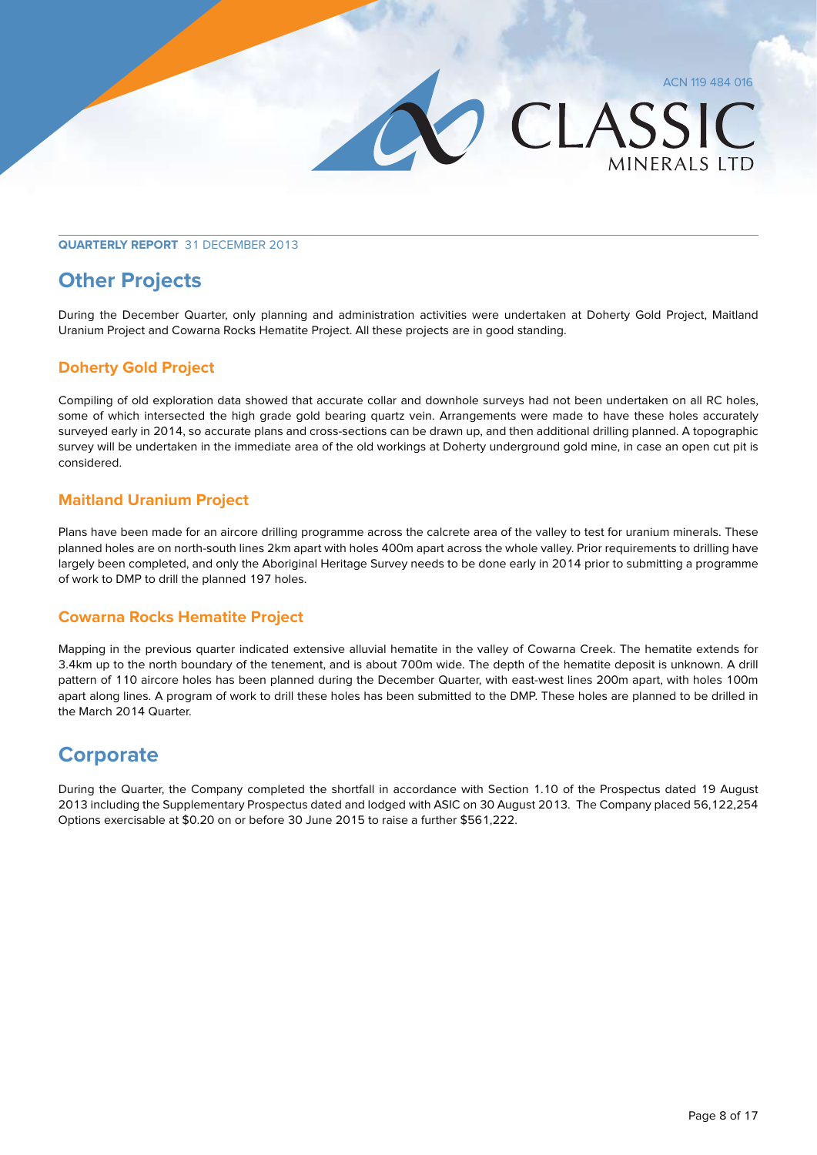

MINERALS LTD

CLASSIC



# **Other Projects**

During the December Quarter, only planning and administration activities were undertaken at Doherty Gold Project, Maitland Uranium Project and Cowarna Rocks Hematite Project. All these projects are in good standing.

# **Doherty Gold Project**

Compiling of old exploration data showed that accurate collar and downhole surveys had not been undertaken on all RC holes, some of which intersected the high grade gold bearing quartz vein. Arrangements were made to have these holes accurately surveyed early in 2014, so accurate plans and cross-sections can be drawn up, and then additional drilling planned. A topographic survey will be undertaken in the immediate area of the old workings at Doherty underground gold mine, in case an open cut pit is considered.

# **Maitland Uranium Project**

Plans have been made for an aircore drilling programme across the calcrete area of the valley to test for uranium minerals. These planned holes are on north-south lines 2km apart with holes 400m apart across the whole valley. Prior requirements to drilling have largely been completed, and only the Aboriginal Heritage Survey needs to be done early in 2014 prior to submitting a programme of work to DMP to drill the planned 197 holes.

# **Cowarna Rocks Hematite Project**

Mapping in the previous quarter indicated extensive alluvial hematite in the valley of Cowarna Creek. The hematite extends for 3.4km up to the north boundary of the tenement, and is about 700m wide. The depth of the hematite deposit is unknown. A drill pattern of 110 aircore holes has been planned during the December Quarter, with east-west lines 200m apart, with holes 100m apart along lines. A program of work to drill these holes has been submitted to the DMP. These holes are planned to be drilled in the March 2014 Quarter.

# **Corporate**

During the Quarter, the Company completed the shortfall in accordance with Section 1.10 of the Prospectus dated 19 August 2013 including the Supplementary Prospectus dated and lodged with ASIC on 30 August 2013. The Company placed 56,122,254 Options exercisable at \$0.20 on or before 30 June 2015 to raise a further \$561,222.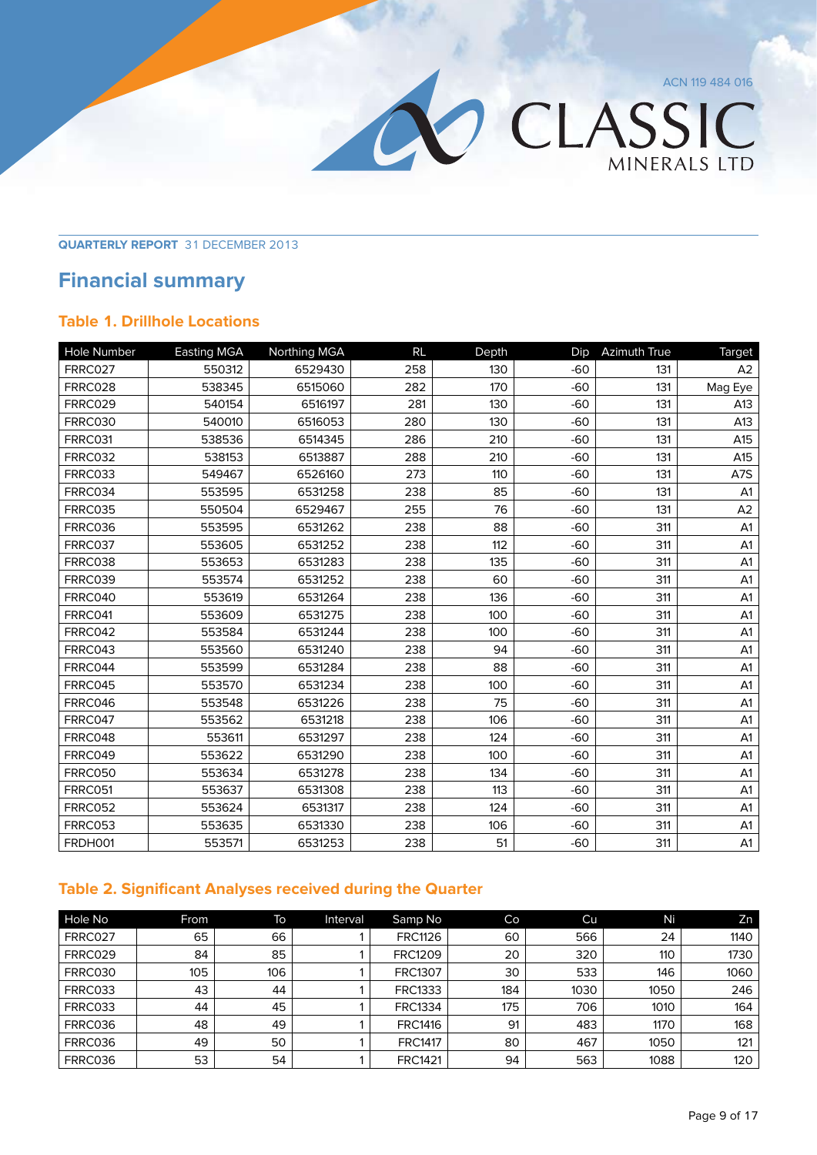O CLASSIC

**Quarterly Report** 31 December 2013

# **Financial summary**

# **Table 1. Drillhole Locations**

| Hole Number    | <b>Easting MGA</b> | Northing MGA | <b>RL</b> | Depth | Dip   | <b>Azimuth True</b> | <b>Target</b>  |
|----------------|--------------------|--------------|-----------|-------|-------|---------------------|----------------|
| FRRC027        | 550312             | 6529430      | 258       | 130   | $-60$ | 131                 | A <sub>2</sub> |
| FRRC028        | 538345             | 6515060      | 282       | 170   | $-60$ | 131                 | Mag Eye        |
| FRRC029        | 540154             | 6516197      | 281       | 130   | $-60$ | 131                 | A13            |
| <b>FRRC030</b> | 540010             | 6516053      | 280       | 130   | $-60$ | 131                 | A13            |
| FRRC031        | 538536             | 6514345      | 286       | 210   | $-60$ | 131                 | A15            |
| <b>FRRC032</b> | 538153             | 6513887      | 288       | 210   | $-60$ | 131                 | A15            |
| <b>FRRC033</b> | 549467             | 6526160      | 273       | 110   | $-60$ | 131                 | A7S            |
| FRRC034        | 553595             | 6531258      | 238       | 85    | $-60$ | 131                 | A <sub>1</sub> |
| <b>FRRC035</b> | 550504             | 6529467      | 255       | 76    | $-60$ | 131                 | A2             |
| FRRC036        | 553595             | 6531262      | 238       | 88    | $-60$ | 311                 | A1             |
| FRRC037        | 553605             | 6531252      | 238       | 112   | $-60$ | 311                 | A <sub>1</sub> |
| FRRC038        | 553653             | 6531283      | 238       | 135   | $-60$ | 311                 | A <sub>1</sub> |
| FRRC039        | 553574             | 6531252      | 238       | 60    | $-60$ | 311                 | A <sub>1</sub> |
| FRRC040        | 553619             | 6531264      | 238       | 136   | $-60$ | 311                 | A <sub>1</sub> |
| FRRC041        | 553609             | 6531275      | 238       | 100   | $-60$ | 311                 | A1             |
| FRRC042        | 553584             | 6531244      | 238       | 100   | $-60$ | 311                 | A1             |
| FRRC043        | 553560             | 6531240      | 238       | 94    | $-60$ | 311                 | A1             |
| FRRC044        | 553599             | 6531284      | 238       | 88    | $-60$ | 311                 | A <sub>1</sub> |
| FRRC045        | 553570             | 6531234      | 238       | 100   | $-60$ | 311                 | A <sub>1</sub> |
| FRRC046        | 553548             | 6531226      | 238       | 75    | $-60$ | 311                 | A <sub>1</sub> |
| FRRC047        | 553562             | 6531218      | 238       | 106   | $-60$ | 311                 | A <sub>1</sub> |
| FRRC048        | 553611             | 6531297      | 238       | 124   | $-60$ | 311                 | A1             |
| FRRC049        | 553622             | 6531290      | 238       | 100   | $-60$ | 311                 | A <sub>1</sub> |
| <b>FRRC050</b> | 553634             | 6531278      | 238       | 134   | $-60$ | 311                 | A <sub>1</sub> |
| FRRC051        | 553637             | 6531308      | 238       | 113   | $-60$ | 311                 | A1             |
| <b>FRRC052</b> | 553624             | 6531317      | 238       | 124   | $-60$ | 311                 | A1             |
| <b>FRRC053</b> | 553635             | 6531330      | 238       | 106   | $-60$ | 311                 | A1             |
| FRDH001        | 553571             | 6531253      | 238       | 51    | $-60$ | 311                 | A1             |

# **Table 2. Significant Analyses received during the Quarter**

| Hole No | From | To  | Interval | Samp No        | Co  | Cu   | Ni   | Zn   |
|---------|------|-----|----------|----------------|-----|------|------|------|
| FRRC027 | 65   | 66  |          | <b>FRC1126</b> | 60  | 566  | 24   | 1140 |
| FRRC029 | 84   | 85  |          | <b>FRC1209</b> | 20  | 320  | 110  | 1730 |
| FRRC030 | 105  | 106 |          | <b>FRC1307</b> | 30  | 533  | 146  | 1060 |
| FRRC033 | 43   | 44  |          | <b>FRC1333</b> | 184 | 1030 | 1050 | 246  |
| FRRC033 | 44   | 45  |          | <b>FRC1334</b> | 175 | 706  | 1010 | 164  |
| FRRC036 | 48   | 49  |          | <b>FRC1416</b> | 91  | 483  | 1170 | 168  |
| FRRC036 | 49   | 50  |          | <b>FRC1417</b> | 80  | 467  | 1050 | 121  |
| FRRC036 | 53   | 54  |          | <b>FRC1421</b> | 94  | 563  | 1088 | 120  |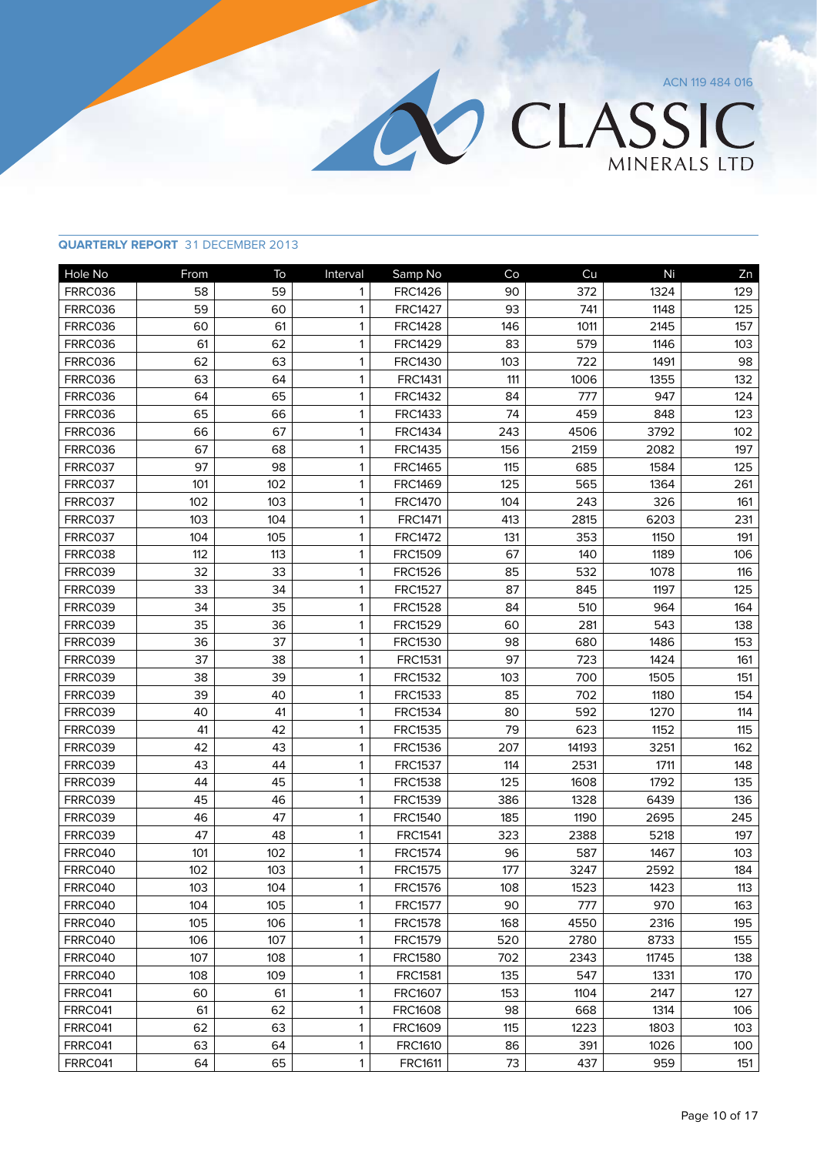| Hole No | From | To  | Interval | Samp No        | Co  | Cu    | Ni    | Zn  |
|---------|------|-----|----------|----------------|-----|-------|-------|-----|
| FRRC036 | 58   | 59  | 1        | <b>FRC1426</b> | 90  | 372   | 1324  | 129 |
| FRRC036 | 59   | 60  | 1        | <b>FRC1427</b> | 93  | 741   | 1148  | 125 |
| FRRC036 | 60   | 61  | 1        | <b>FRC1428</b> | 146 | 1011  | 2145  | 157 |
| FRRC036 | 61   | 62  | 1        | <b>FRC1429</b> | 83  | 579   | 1146  | 103 |
| FRRC036 | 62   | 63  | 1        | <b>FRC1430</b> | 103 | 722   | 1491  | 98  |
| FRRC036 | 63   | 64  | 1        | <b>FRC1431</b> | 111 | 1006  | 1355  | 132 |
| FRRC036 | 64   | 65  | 1        | <b>FRC1432</b> | 84  | 777   | 947   | 124 |
| FRRC036 | 65   | 66  | 1        | <b>FRC1433</b> | 74  | 459   | 848   | 123 |
| FRRC036 | 66   | 67  | 1        | <b>FRC1434</b> | 243 | 4506  | 3792  | 102 |
| FRRC036 | 67   | 68  | 1        | <b>FRC1435</b> | 156 | 2159  | 2082  | 197 |
| FRRC037 | 97   | 98  | 1        | <b>FRC1465</b> | 115 | 685   | 1584  | 125 |
| FRRC037 | 101  | 102 | 1        | <b>FRC1469</b> | 125 | 565   | 1364  | 261 |
| FRRC037 | 102  | 103 | 1        | <b>FRC1470</b> | 104 | 243   | 326   | 161 |
| FRRC037 | 103  | 104 | 1        | <b>FRC1471</b> | 413 | 2815  | 6203  | 231 |
| FRRC037 | 104  | 105 | 1        | <b>FRC1472</b> | 131 | 353   | 1150  | 191 |
| FRRC038 | 112  | 113 | 1        | <b>FRC1509</b> | 67  | 140   | 1189  | 106 |
| FRRC039 | 32   | 33  | 1        | <b>FRC1526</b> | 85  | 532   | 1078  | 116 |
| FRRC039 | 33   | 34  | 1        | <b>FRC1527</b> | 87  | 845   | 1197  | 125 |
| FRRC039 | 34   | 35  | 1        | <b>FRC1528</b> | 84  | 510   | 964   | 164 |
| FRRC039 | 35   | 36  | 1        | <b>FRC1529</b> | 60  | 281   | 543   | 138 |
| FRRC039 | 36   | 37  | 1        | <b>FRC1530</b> | 98  | 680   | 1486  | 153 |
| FRRC039 | 37   | 38  | 1        | FRC1531        | 97  | 723   | 1424  | 161 |
| FRRC039 | 38   | 39  | 1        | FRC1532        | 103 | 700   | 1505  | 151 |
| FRRC039 | 39   | 40  | 1        | <b>FRC1533</b> | 85  | 702   | 1180  | 154 |
| FRRC039 | 40   | 41  | 1        | <b>FRC1534</b> | 80  | 592   | 1270  | 114 |
| FRRC039 | 41   | 42  | 1        | <b>FRC1535</b> | 79  | 623   | 1152  | 115 |
| FRRC039 | 42   | 43  | 1        | FRC1536        | 207 | 14193 | 3251  | 162 |
| FRRC039 | 43   | 44  | 1        | <b>FRC1537</b> | 114 | 2531  | 1711  | 148 |
| FRRC039 | 44   | 45  | 1        | <b>FRC1538</b> | 125 | 1608  | 1792  | 135 |
| FRRC039 | 45   | 46  | 1        | FRC1539        | 386 | 1328  | 6439  | 136 |
| FRRC039 | 46   | 47  | 1        | <b>FRC1540</b> | 185 | 1190  | 2695  | 245 |
| FRRC039 | 47   | 48  | 1        | <b>FRC1541</b> | 323 | 2388  | 5218  | 197 |
| FRRC040 | 101  | 102 | 1        | <b>FRC1574</b> | 96  | 587   | 1467  | 103 |
| FRRC040 | 102  | 103 | 1        | <b>FRC1575</b> | 177 | 3247  | 2592  | 184 |
| FRRC040 | 103  | 104 | 1        | <b>FRC1576</b> | 108 | 1523  | 1423  | 113 |
| FRRC040 | 104  | 105 | 1        | <b>FRC1577</b> | 90  | 777   | 970   | 163 |
| FRRC040 | 105  | 106 | 1        | <b>FRC1578</b> | 168 | 4550  | 2316  | 195 |
| FRRC040 | 106  | 107 | 1        | <b>FRC1579</b> | 520 | 2780  | 8733  | 155 |
| FRRC040 | 107  | 108 | 1        | <b>FRC1580</b> | 702 | 2343  | 11745 | 138 |
| FRRC040 | 108  | 109 | 1        | <b>FRC1581</b> | 135 | 547   | 1331  | 170 |
| FRRC041 | 60   | 61  | 1        | FRC1607        | 153 | 1104  | 2147  | 127 |
| FRRC041 | 61   | 62  | 1        | <b>FRC1608</b> | 98  | 668   | 1314  | 106 |
| FRRC041 | 62   | 63  | 1        | <b>FRC1609</b> | 115 | 1223  | 1803  | 103 |
| FRRC041 | 63   | 64  | 1        | <b>FRC1610</b> | 86  | 391   | 1026  | 100 |
| FRRC041 | 64   | 65  | 1        | <b>FRC1611</b> | 73  | 437   | 959   | 151 |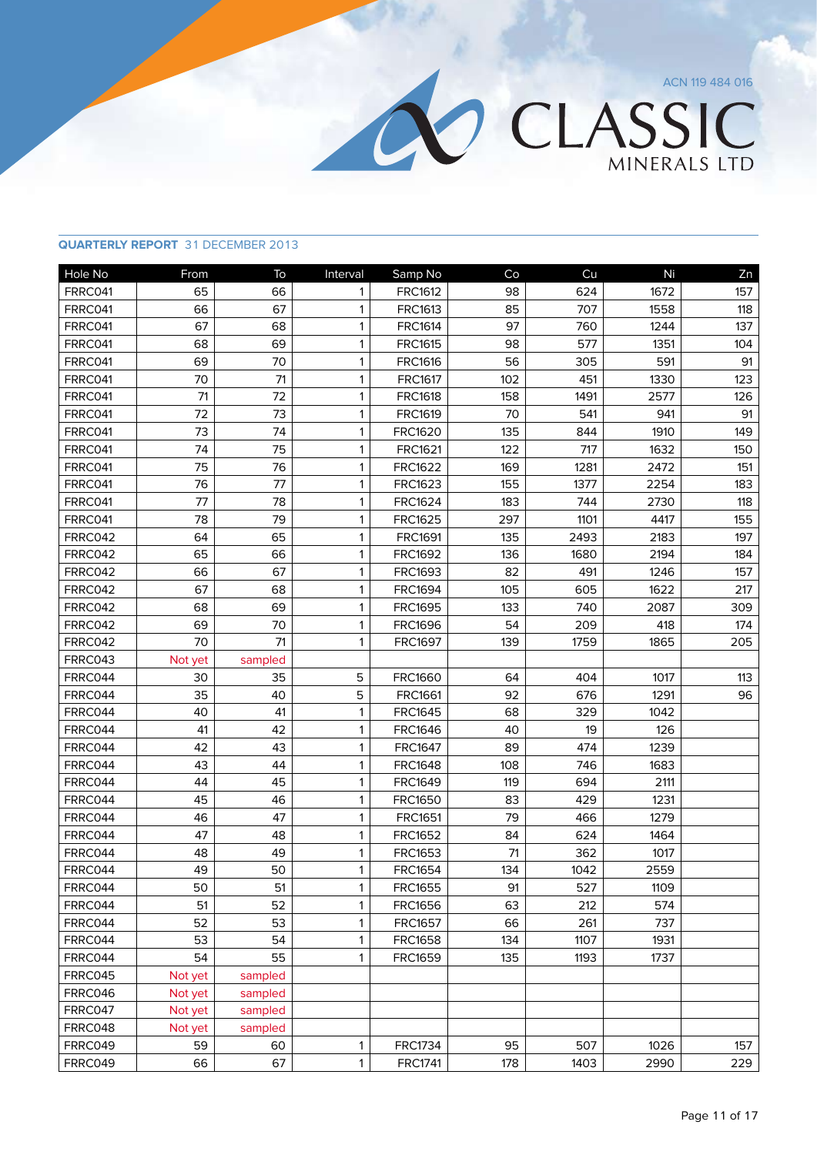| Hole No | From    | To      | Interval     | Samp No        | Co  | Cu   | Ni   | Zn  |
|---------|---------|---------|--------------|----------------|-----|------|------|-----|
| FRRC041 | 65      | 66      | 1            | <b>FRC1612</b> | 98  | 624  | 1672 | 157 |
| FRRC041 | 66      | 67      | $\mathbf{1}$ | <b>FRC1613</b> | 85  | 707  | 1558 | 118 |
| FRRC041 | 67      | 68      | 1            | <b>FRC1614</b> | 97  | 760  | 1244 | 137 |
| FRRC041 | 68      | 69      | 1            | <b>FRC1615</b> | 98  | 577  | 1351 | 104 |
| FRRC041 | 69      | 70      | 1            | <b>FRC1616</b> | 56  | 305  | 591  | 91  |
| FRRC041 | 70      | 71      | 1            | <b>FRC1617</b> | 102 | 451  | 1330 | 123 |
| FRRC041 | 71      | 72      | 1            | <b>FRC1618</b> | 158 | 1491 | 2577 | 126 |
| FRRC041 | 72      | 73      | 1            | <b>FRC1619</b> | 70  | 541  | 941  | 91  |
| FRRC041 | 73      | 74      | 1            | <b>FRC1620</b> | 135 | 844  | 1910 | 149 |
| FRRC041 | 74      | 75      | $\mathbf{1}$ | <b>FRC1621</b> | 122 | 717  | 1632 | 150 |
| FRRC041 | 75      | 76      | 1            | <b>FRC1622</b> | 169 | 1281 | 2472 | 151 |
| FRRC041 | 76      | 77      | 1            | <b>FRC1623</b> | 155 | 1377 | 2254 | 183 |
| FRRC041 | 77      | 78      | 1            | FRC1624        | 183 | 744  | 2730 | 118 |
| FRRC041 | 78      | 79      | 1            | <b>FRC1625</b> | 297 | 1101 | 4417 | 155 |
| FRRC042 | 64      | 65      | 1            | <b>FRC1691</b> | 135 | 2493 | 2183 | 197 |
| FRRC042 | 65      | 66      | 1            | <b>FRC1692</b> | 136 | 1680 | 2194 | 184 |
| FRRC042 | 66      | 67      | 1            | <b>FRC1693</b> | 82  | 491  | 1246 | 157 |
| FRRC042 | 67      | 68      | 1            | <b>FRC1694</b> | 105 | 605  | 1622 | 217 |
| FRRC042 | 68      | 69      | 1            | <b>FRC1695</b> | 133 | 740  | 2087 | 309 |
| FRRC042 | 69      | 70      | 1            | <b>FRC1696</b> | 54  | 209  | 418  | 174 |
| FRRC042 | 70      | 71      | 1            | <b>FRC1697</b> | 139 | 1759 | 1865 | 205 |
| FRRC043 | Not yet | sampled |              |                |     |      |      |     |
| FRRC044 | 30      | 35      | 5            | <b>FRC1660</b> | 64  | 404  | 1017 | 113 |
| FRRC044 | 35      | 40      | 5            | <b>FRC1661</b> | 92  | 676  | 1291 | 96  |
| FRRC044 | 40      | 41      | 1            | <b>FRC1645</b> | 68  | 329  | 1042 |     |
| FRRC044 | 41      | 42      | 1            | <b>FRC1646</b> | 40  | 19   | 126  |     |
| FRRC044 | 42      | 43      | 1            | <b>FRC1647</b> | 89  | 474  | 1239 |     |
| FRRC044 | 43      | 44      | 1            | <b>FRC1648</b> | 108 | 746  | 1683 |     |
| FRRC044 | 44      | 45      | 1            | <b>FRC1649</b> | 119 | 694  | 2111 |     |
| FRRC044 | 45      | 46      | 1            | <b>FRC1650</b> | 83  | 429  | 1231 |     |
| FRRC044 | 46      | 47      | 1            | <b>FRC1651</b> | 79  | 466  | 1279 |     |
| FRRC044 | 47      | 48      | 1            | <b>FRC1652</b> | 84  | 624  | 1464 |     |
| FRRC044 | 48      | 49      | 1            | <b>FRC1653</b> | 71  | 362  | 1017 |     |
| FRRC044 | 49      | 50      | 1            | <b>FRC1654</b> | 134 | 1042 | 2559 |     |
| FRRC044 | 50      | 51      | 1            | <b>FRC1655</b> | 91  | 527  | 1109 |     |
| FRRC044 | 51      | 52      | 1            | <b>FRC1656</b> | 63  | 212  | 574  |     |
| FRRC044 | 52      | 53      | 1            | <b>FRC1657</b> | 66  | 261  | 737  |     |
| FRRC044 | 53      | 54      | 1            | <b>FRC1658</b> | 134 | 1107 | 1931 |     |
| FRRC044 | 54      | 55      | 1            | <b>FRC1659</b> | 135 | 1193 | 1737 |     |
| FRRC045 | Not yet | sampled |              |                |     |      |      |     |
| FRRC046 | Not yet | sampled |              |                |     |      |      |     |
| FRRC047 | Not yet | sampled |              |                |     |      |      |     |
| FRRC048 | Not yet | sampled |              |                |     |      |      |     |
| FRRC049 | 59      | 60      | 1            | <b>FRC1734</b> | 95  | 507  | 1026 | 157 |
| FRRC049 | 66      | 67      | 1            | <b>FRC1741</b> | 178 | 1403 | 2990 | 229 |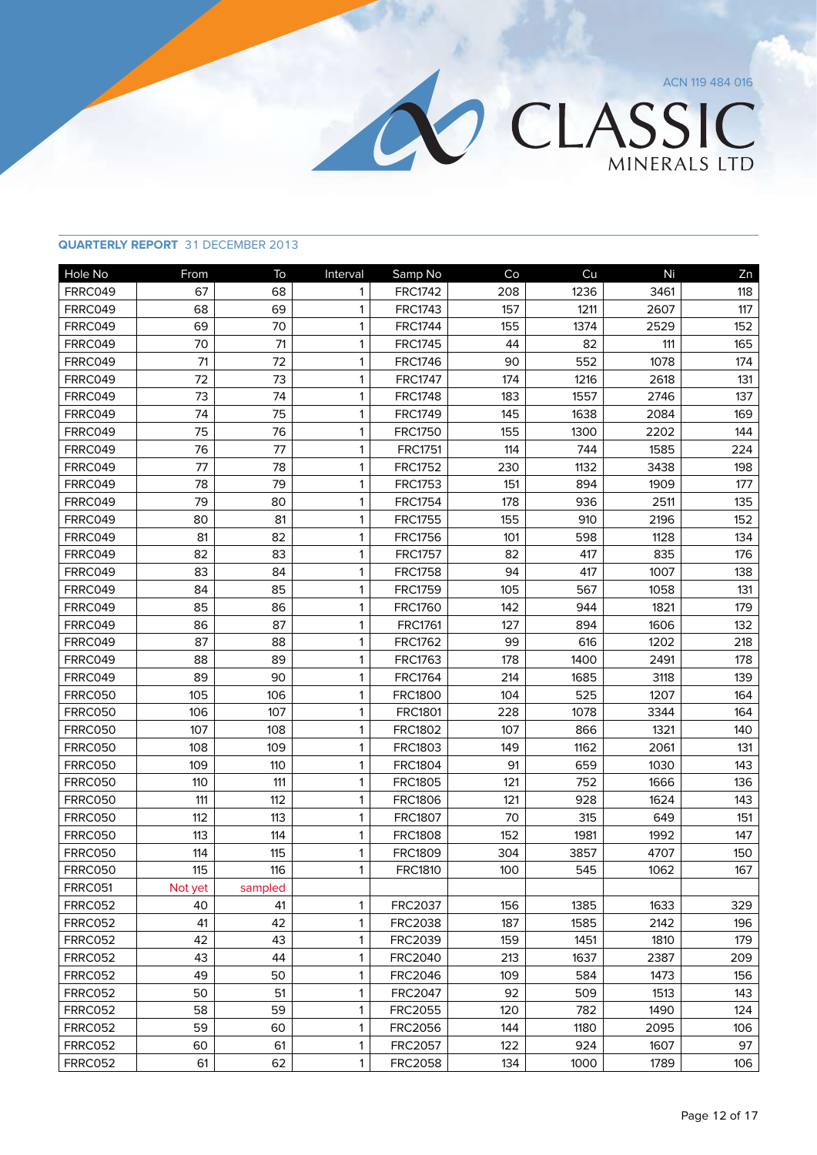| Hole No        | From    | To      | Interval | Samp No        | Co  | Cu   | Ni   | Zn  |
|----------------|---------|---------|----------|----------------|-----|------|------|-----|
| FRRC049        | 67      | 68      | 1        | <b>FRC1742</b> | 208 | 1236 | 3461 | 118 |
| FRRC049        | 68      | 69      | 1        | <b>FRC1743</b> | 157 | 1211 | 2607 | 117 |
| FRRC049        | 69      | 70      | 1        | <b>FRC1744</b> | 155 | 1374 | 2529 | 152 |
| FRRC049        | 70      | 71      | 1        | <b>FRC1745</b> | 44  | 82   | 111  | 165 |
| FRRC049        | 71      | 72      | 1        | <b>FRC1746</b> | 90  | 552  | 1078 | 174 |
| FRRC049        | 72      | 73      | 1        | <b>FRC1747</b> | 174 | 1216 | 2618 | 131 |
| FRRC049        | 73      | 74      | 1        | <b>FRC1748</b> | 183 | 1557 | 2746 | 137 |
| FRRC049        | 74      | 75      | 1        | <b>FRC1749</b> | 145 | 1638 | 2084 | 169 |
| FRRC049        | 75      | 76      | 1        | <b>FRC1750</b> | 155 | 1300 | 2202 | 144 |
| FRRC049        | 76      | 77      | 1        | <b>FRC1751</b> | 114 | 744  | 1585 | 224 |
| FRRC049        | 77      | 78      | 1        | <b>FRC1752</b> | 230 | 1132 | 3438 | 198 |
| FRRC049        | 78      | 79      | 1        | <b>FRC1753</b> | 151 | 894  | 1909 | 177 |
| FRRC049        | 79      | 80      | 1        | <b>FRC1754</b> | 178 | 936  | 2511 | 135 |
| FRRC049        | 80      | 81      | 1        | <b>FRC1755</b> | 155 | 910  | 2196 | 152 |
| FRRC049        | 81      | 82      | 1        | <b>FRC1756</b> | 101 | 598  | 1128 | 134 |
| FRRC049        | 82      | 83      | 1        | <b>FRC1757</b> | 82  | 417  | 835  | 176 |
| FRRC049        | 83      | 84      | 1        | <b>FRC1758</b> | 94  | 417  | 1007 | 138 |
| FRRC049        | 84      | 85      | 1        | <b>FRC1759</b> | 105 | 567  | 1058 | 131 |
| FRRC049        | 85      | 86      | 1        | <b>FRC1760</b> | 142 | 944  | 1821 | 179 |
| FRRC049        | 86      | 87      | 1        | <b>FRC1761</b> | 127 | 894  | 1606 | 132 |
| FRRC049        | 87      | 88      | 1        | <b>FRC1762</b> | 99  | 616  | 1202 | 218 |
| FRRC049        | 88      | 89      | 1        | <b>FRC1763</b> | 178 | 1400 | 2491 | 178 |
| FRRC049        | 89      | 90      | 1        | <b>FRC1764</b> | 214 | 1685 | 3118 | 139 |
| <b>FRRC050</b> | 105     | 106     | 1        | <b>FRC1800</b> | 104 | 525  | 1207 | 164 |
| <b>FRRC050</b> | 106     | 107     | 1        | <b>FRC1801</b> | 228 | 1078 | 3344 | 164 |
| FRRC050        | 107     | 108     | 1        | <b>FRC1802</b> | 107 | 866  | 1321 | 140 |
| <b>FRRC050</b> | 108     | 109     | 1        | FRC1803        | 149 | 1162 | 2061 | 131 |
| <b>FRRC050</b> | 109     | 110     | 1        | <b>FRC1804</b> | 91  | 659  | 1030 | 143 |
| <b>FRRC050</b> | 110     | 111     | 1        | <b>FRC1805</b> | 121 | 752  | 1666 | 136 |
| <b>FRRC050</b> | 111     | 112     | 1        | <b>FRC1806</b> | 121 | 928  | 1624 | 143 |
| <b>FRRC050</b> | 112     | 113     | 1        | <b>FRC1807</b> | 70  | 315  | 649  | 151 |
| FRRC050        | 113     | 114     | 1        | <b>FRC1808</b> | 152 | 1981 | 1992 | 147 |
| <b>FRRC050</b> | 114     | 115     | 1        | <b>FRC1809</b> | 304 | 3857 | 4707 | 150 |
| <b>FRRC050</b> | 115     | 116     | 1        | <b>FRC1810</b> | 100 | 545  | 1062 | 167 |
| FRRC051        | Not yet | sampled |          |                |     |      |      |     |
| <b>FRRC052</b> | 40      | 41      | 1        | <b>FRC2037</b> | 156 | 1385 | 1633 | 329 |
| <b>FRRC052</b> | 41      | 42      | 1        | <b>FRC2038</b> | 187 | 1585 | 2142 | 196 |
| <b>FRRC052</b> | 42      | 43      | 1        | <b>FRC2039</b> | 159 | 1451 | 1810 | 179 |
| FRRC052        | 43      | 44      | 1        | <b>FRC2040</b> | 213 | 1637 | 2387 | 209 |
| FRRC052        | 49      | 50      | 1        | <b>FRC2046</b> | 109 | 584  | 1473 | 156 |
| FRRC052        | 50      | 51      | 1        | <b>FRC2047</b> | 92  | 509  | 1513 | 143 |
| <b>FRRC052</b> | 58      | 59      | 1        | <b>FRC2055</b> | 120 | 782  | 1490 | 124 |
| <b>FRRC052</b> | 59      | 60      | 1        | <b>FRC2056</b> | 144 | 1180 | 2095 | 106 |
| <b>FRRC052</b> | 60      | 61      | 1        | <b>FRC2057</b> | 122 | 924  | 1607 | 97  |
| <b>FRRC052</b> | 61      | 62      | 1        | <b>FRC2058</b> | 134 | 1000 | 1789 | 106 |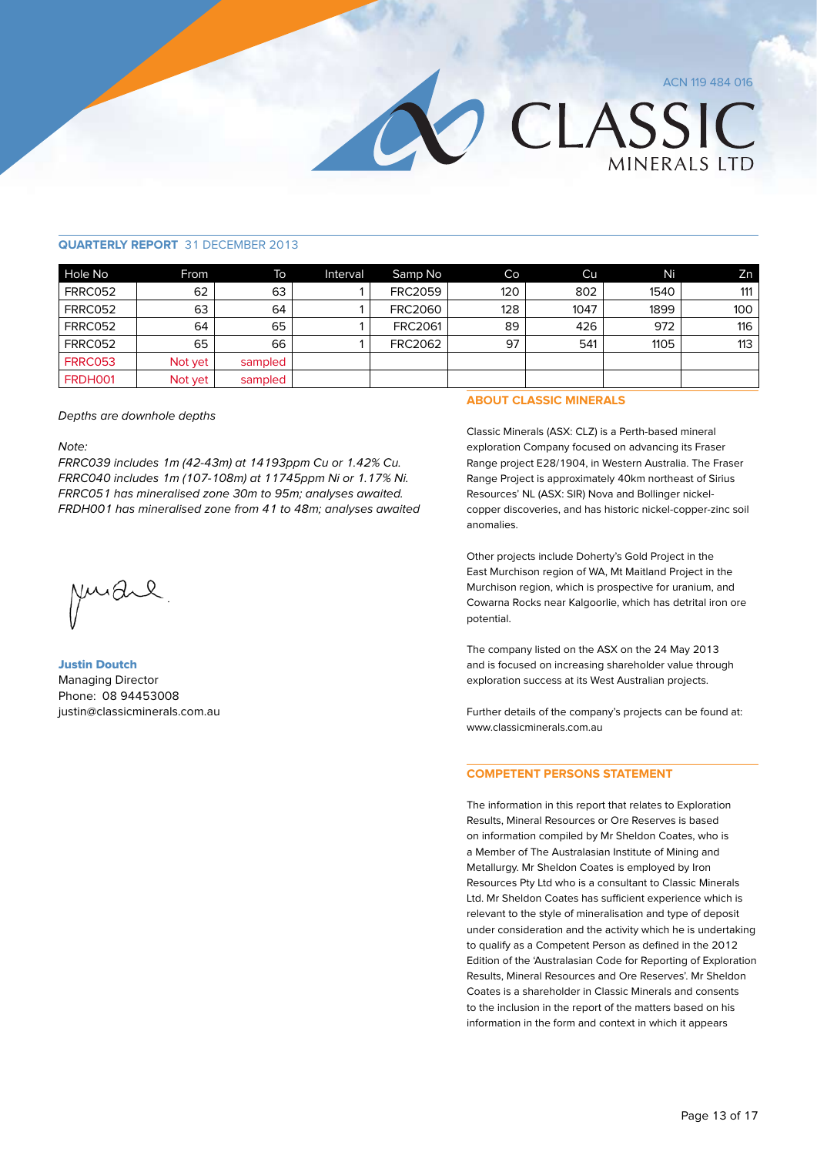

### **Quarterly Report** 31 December 2013

| Hole No        | From    | To      | Interval | Samp No        | Co  | Cu   | Ni   | Zn I             |
|----------------|---------|---------|----------|----------------|-----|------|------|------------------|
| <b>FRRC052</b> | 62      | 63      |          | <b>FRC2059</b> | 120 | 802  | 1540 | 111 <sub>1</sub> |
| <b>FRRC052</b> | 63      | 64      |          | <b>FRC2060</b> | 128 | 1047 | 1899 | 100              |
| <b>FRRC052</b> | 64      | 65      |          | <b>FRC2061</b> | 89  | 426  | 972  | 116              |
| FRRC052        | 65      | 66      |          | <b>FRC2062</b> | 97  | 541  | 1105 | 113              |
| <b>FRRC053</b> | Not yet | sampled |          |                |     |      |      |                  |
| FRDH001        | Not yet | sampled |          |                |     |      |      |                  |

### Depths are downhole depths

Note:

FRRC039 includes 1m (42-43m) at 14193ppm Cu or 1.42% Cu. FRRC040 includes 1m (107-108m) at 11745ppm Ni or 1.17% Ni. FRRC051 has mineralised zone 30m to 95m; analyses awaited. FRDH001 has mineralised zone from 41 to 48m; analyses awaited

**ABOUT CLASSIC MINERALS**

Classic Minerals (ASX: CLZ) is a Perth-based mineral exploration Company focused on advancing its Fraser Range project E28/1904, in Western Australia. The Fraser Range Project is approximately 40km northeast of Sirius Resources' NL (ASX: SIR) Nova and Bollinger nickelcopper discoveries, and has historic nickel-copper-zinc soil anomalies.

Other projects include Doherty's Gold Project in the East Murchison region of WA, Mt Maitland Project in the Murchison region, which is prospective for uranium, and Cowarna Rocks near Kalgoorlie, which has detrital iron ore potential.

The company listed on the ASX on the 24 May 2013 and is focused on increasing shareholder value through exploration success at its West Australian projects.

Further details of the company's projects can be found at: www.classicminerals.com.au

### **COMPETENT PERSONS STATEMENT**

The information in this report that relates to Exploration Results, Mineral Resources or Ore Reserves is based on information compiled by Mr Sheldon Coates, who is a Member of The Australasian Institute of Mining and Metallurgy. Mr Sheldon Coates is employed by Iron Resources Pty Ltd who is a consultant to Classic Minerals Ltd. Mr Sheldon Coates has sufficient experience which is relevant to the style of mineralisation and type of deposit under consideration and the activity which he is undertaking to qualify as a Competent Person as defined in the 2012 Edition of the 'Australasian Code for Reporting of Exploration Results, Mineral Resources and Ore Reserves'. Mr Sheldon Coates is a shareholder in Classic Minerals and consents to the inclusion in the report of the matters based on his information in the form and context in which it appears

Justin Doutch Managing Director Phone: 08 94453008 justin@classicminerals.com.au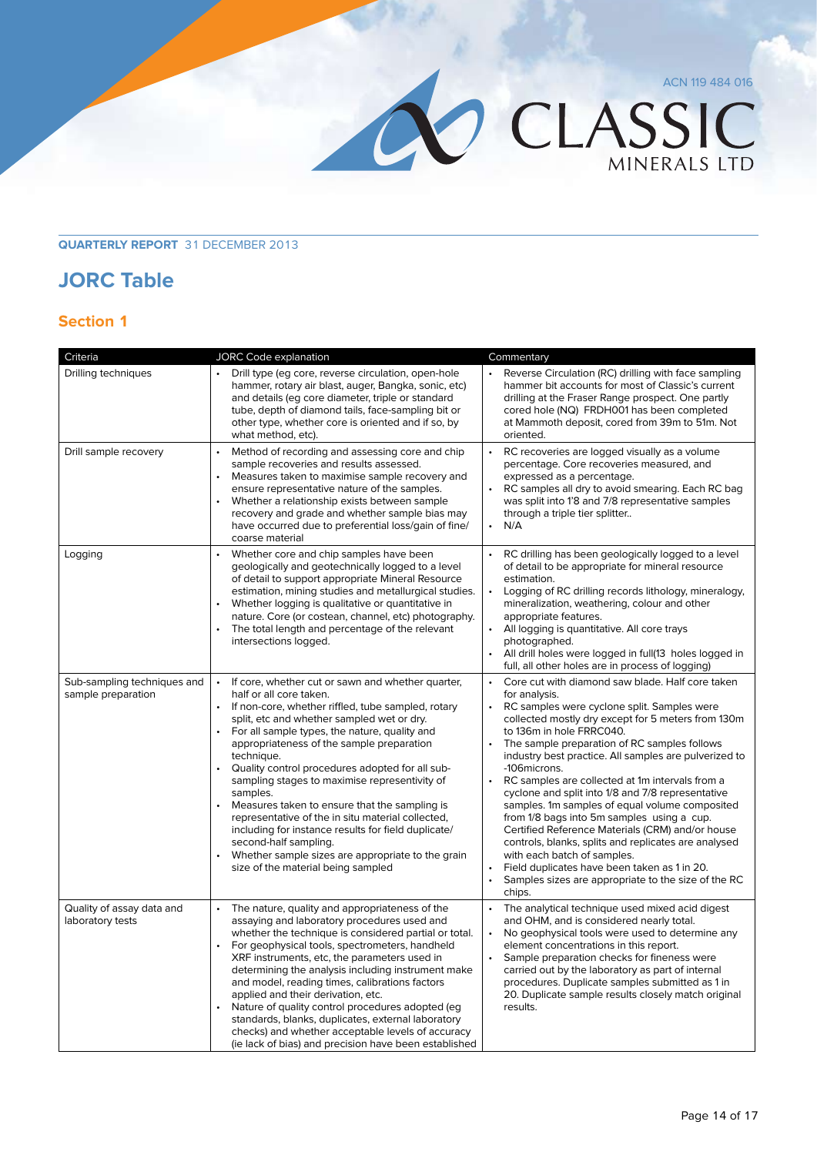O CLASSIC

# **Quarterly Report** 31 December 2013

# **JORC Table**

# **Section 1**

| Criteria                                          | <b>JORC Code explanation</b>                                                                                                                                                                                                                                                                                                                                                                                                                                                                                                                                                                                                                                                                               | Commentary                                                                                                                                                                                                                                                                                                                                                                                                                                                                                                                                                                                                                                                                                                                                                                                                                                          |
|---------------------------------------------------|------------------------------------------------------------------------------------------------------------------------------------------------------------------------------------------------------------------------------------------------------------------------------------------------------------------------------------------------------------------------------------------------------------------------------------------------------------------------------------------------------------------------------------------------------------------------------------------------------------------------------------------------------------------------------------------------------------|-----------------------------------------------------------------------------------------------------------------------------------------------------------------------------------------------------------------------------------------------------------------------------------------------------------------------------------------------------------------------------------------------------------------------------------------------------------------------------------------------------------------------------------------------------------------------------------------------------------------------------------------------------------------------------------------------------------------------------------------------------------------------------------------------------------------------------------------------------|
| Drilling techniques                               | Drill type (eg core, reverse circulation, open-hole<br>hammer, rotary air blast, auger, Bangka, sonic, etc)<br>and details (eg core diameter, triple or standard<br>tube, depth of diamond tails, face-sampling bit or<br>other type, whether core is oriented and if so, by<br>what method, etc).                                                                                                                                                                                                                                                                                                                                                                                                         | Reverse Circulation (RC) drilling with face sampling<br>hammer bit accounts for most of Classic's current<br>drilling at the Fraser Range prospect. One partly<br>cored hole (NQ) FRDH001 has been completed<br>at Mammoth deposit, cored from 39m to 51m. Not<br>oriented.                                                                                                                                                                                                                                                                                                                                                                                                                                                                                                                                                                         |
| Drill sample recovery                             | Method of recording and assessing core and chip<br>$\bullet$<br>sample recoveries and results assessed.<br>Measures taken to maximise sample recovery and<br>ensure representative nature of the samples.<br>Whether a relationship exists between sample<br>recovery and grade and whether sample bias may<br>have occurred due to preferential loss/gain of fine/<br>coarse material                                                                                                                                                                                                                                                                                                                     | $\bullet$<br>RC recoveries are logged visually as a volume<br>percentage. Core recoveries measured, and<br>expressed as a percentage.<br>RC samples all dry to avoid smearing. Each RC bag<br>$\bullet$<br>was split into 1'8 and 7/8 representative samples<br>through a triple tier splitter<br>N/A<br>$\bullet$                                                                                                                                                                                                                                                                                                                                                                                                                                                                                                                                  |
| Logging                                           | Whether core and chip samples have been<br>geologically and geotechnically logged to a level<br>of detail to support appropriate Mineral Resource<br>estimation, mining studies and metallurgical studies.<br>Whether logging is qualitative or quantitative in<br>nature. Core (or costean, channel, etc) photography.<br>The total length and percentage of the relevant<br>intersections logged.                                                                                                                                                                                                                                                                                                        | RC drilling has been geologically logged to a level<br>of detail to be appropriate for mineral resource<br>estimation.<br>Logging of RC drilling records lithology, mineralogy,<br>$\bullet$<br>mineralization, weathering, colour and other<br>appropriate features.<br>All logging is quantitative. All core trays<br>photographed.<br>All drill holes were logged in full(13 holes logged in<br>full, all other holes are in process of logging)                                                                                                                                                                                                                                                                                                                                                                                                 |
| Sub-sampling techniques and<br>sample preparation | $\bullet$<br>If core, whether cut or sawn and whether quarter,<br>half or all core taken.<br>If non-core, whether riffled, tube sampled, rotary<br>split, etc and whether sampled wet or dry.<br>For all sample types, the nature, quality and<br>appropriateness of the sample preparation<br>technique.<br>Quality control procedures adopted for all sub-<br>sampling stages to maximise representivity of<br>samples.<br>Measures taken to ensure that the sampling is<br>representative of the in situ material collected,<br>including for instance results for field duplicate/<br>second-half sampling.<br>Whether sample sizes are appropriate to the grain<br>size of the material being sampled | Core cut with diamond saw blade. Half core taken<br>$\bullet$<br>for analysis.<br>RC samples were cyclone split. Samples were<br>collected mostly dry except for 5 meters from 130m<br>to 136m in hole FRRC040.<br>The sample preparation of RC samples follows<br>industry best practice. All samples are pulverized to<br>-106microns.<br>$\bullet$<br>RC samples are collected at 1m intervals from a<br>cyclone and split into 1/8 and 7/8 representative<br>samples. 1m samples of equal volume composited<br>from 1/8 bags into 5m samples using a cup.<br>Certified Reference Materials (CRM) and/or house<br>controls, blanks, splits and replicates are analysed<br>with each batch of samples.<br>Field duplicates have been taken as 1 in 20.<br>$\bullet$<br>Samples sizes are appropriate to the size of the RC<br>$\bullet$<br>chips. |
| Quality of assay data and<br>laboratory tests     | The nature, quality and appropriateness of the<br>assaying and laboratory procedures used and<br>whether the technique is considered partial or total.<br>For geophysical tools, spectrometers, handheld<br>XRF instruments, etc, the parameters used in<br>determining the analysis including instrument make<br>and model, reading times, calibrations factors<br>applied and their derivation, etc.<br>Nature of quality control procedures adopted (eg<br>standards, blanks, duplicates, external laboratory<br>checks) and whether acceptable levels of accuracy<br>(ie lack of bias) and precision have been established                                                                             | The analytical technique used mixed acid digest<br>and OHM, and is considered nearly total.<br>No geophysical tools were used to determine any<br>$\bullet$<br>element concentrations in this report.<br>Sample preparation checks for fineness were<br>$\bullet$<br>carried out by the laboratory as part of internal<br>procedures. Duplicate samples submitted as 1 in<br>20. Duplicate sample results closely match original<br>results.                                                                                                                                                                                                                                                                                                                                                                                                        |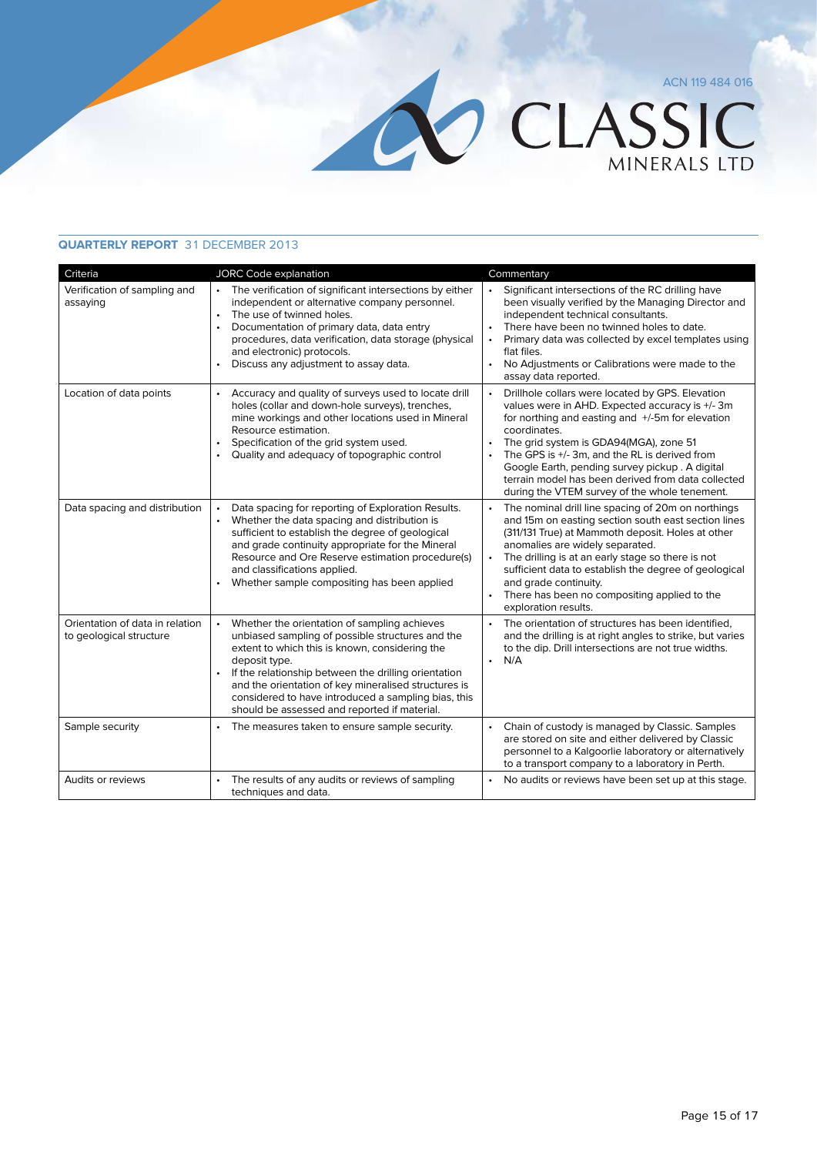| Criteria                                                   | <b>JORC Code explanation</b>                                                                                                                                                                                                                                                                                                                                                               | Commentary                                                                                                                                                                                                                                                                                                                                                                                                                               |
|------------------------------------------------------------|--------------------------------------------------------------------------------------------------------------------------------------------------------------------------------------------------------------------------------------------------------------------------------------------------------------------------------------------------------------------------------------------|------------------------------------------------------------------------------------------------------------------------------------------------------------------------------------------------------------------------------------------------------------------------------------------------------------------------------------------------------------------------------------------------------------------------------------------|
| Verification of sampling and<br>assaying                   | The verification of significant intersections by either<br>independent or alternative company personnel.<br>The use of twinned holes.<br>$\bullet$<br>Documentation of primary data, data entry<br>procedures, data verification, data storage (physical<br>and electronic) protocols.<br>Discuss any adjustment to assay data.                                                            | Significant intersections of the RC drilling have<br>been visually verified by the Managing Director and<br>independent technical consultants.<br>There have been no twinned holes to date.<br>Primary data was collected by excel templates using<br>flat files.<br>No Adjustments or Calibrations were made to the<br>assay data reported.                                                                                             |
| Location of data points                                    | Accuracy and quality of surveys used to locate drill<br>holes (collar and down-hole surveys), trenches,<br>mine workings and other locations used in Mineral<br>Resource estimation.<br>Specification of the grid system used.<br>Quality and adequacy of topographic control                                                                                                              | Drillhole collars were located by GPS. Elevation<br>$\bullet$<br>values were in AHD. Expected accuracy is +/- 3m<br>for northing and easting and +/-5m for elevation<br>coordinates.<br>The grid system is GDA94(MGA), zone 51<br>The GPS is +/- 3m, and the RL is derived from<br>Google Earth, pending survey pickup. A digital<br>terrain model has been derived from data collected<br>during the VTEM survey of the whole tenement. |
| Data spacing and distribution                              | Data spacing for reporting of Exploration Results.<br>Whether the data spacing and distribution is<br>sufficient to establish the degree of geological<br>and grade continuity appropriate for the Mineral<br>Resource and Ore Reserve estimation procedure(s)<br>and classifications applied.<br>Whether sample compositing has been applied                                              | The nominal drill line spacing of 20m on northings<br>and 15m on easting section south east section lines<br>(311/131 True) at Mammoth deposit. Holes at other<br>anomalies are widely separated.<br>The drilling is at an early stage so there is not<br>$\bullet$<br>sufficient data to establish the degree of geological<br>and grade continuity.<br>There has been no compositing applied to the<br>exploration results.            |
| Orientation of data in relation<br>to geological structure | Whether the orientation of sampling achieves<br>unbiased sampling of possible structures and the<br>extent to which this is known, considering the<br>deposit type.<br>If the relationship between the drilling orientation<br>and the orientation of key mineralised structures is<br>considered to have introduced a sampling bias, this<br>should be assessed and reported if material. | The orientation of structures has been identified,<br>$\bullet$<br>and the drilling is at right angles to strike, but varies<br>to the dip. Drill intersections are not true widths.<br>N/A<br>$\bullet$                                                                                                                                                                                                                                 |
| Sample security                                            | The measures taken to ensure sample security.<br>$\bullet$                                                                                                                                                                                                                                                                                                                                 | Chain of custody is managed by Classic. Samples<br>are stored on site and either delivered by Classic<br>personnel to a Kalgoorlie laboratory or alternatively<br>to a transport company to a laboratory in Perth.                                                                                                                                                                                                                       |
| Audits or reviews                                          | The results of any audits or reviews of sampling<br>techniques and data.                                                                                                                                                                                                                                                                                                                   | • No audits or reviews have been set up at this stage.                                                                                                                                                                                                                                                                                                                                                                                   |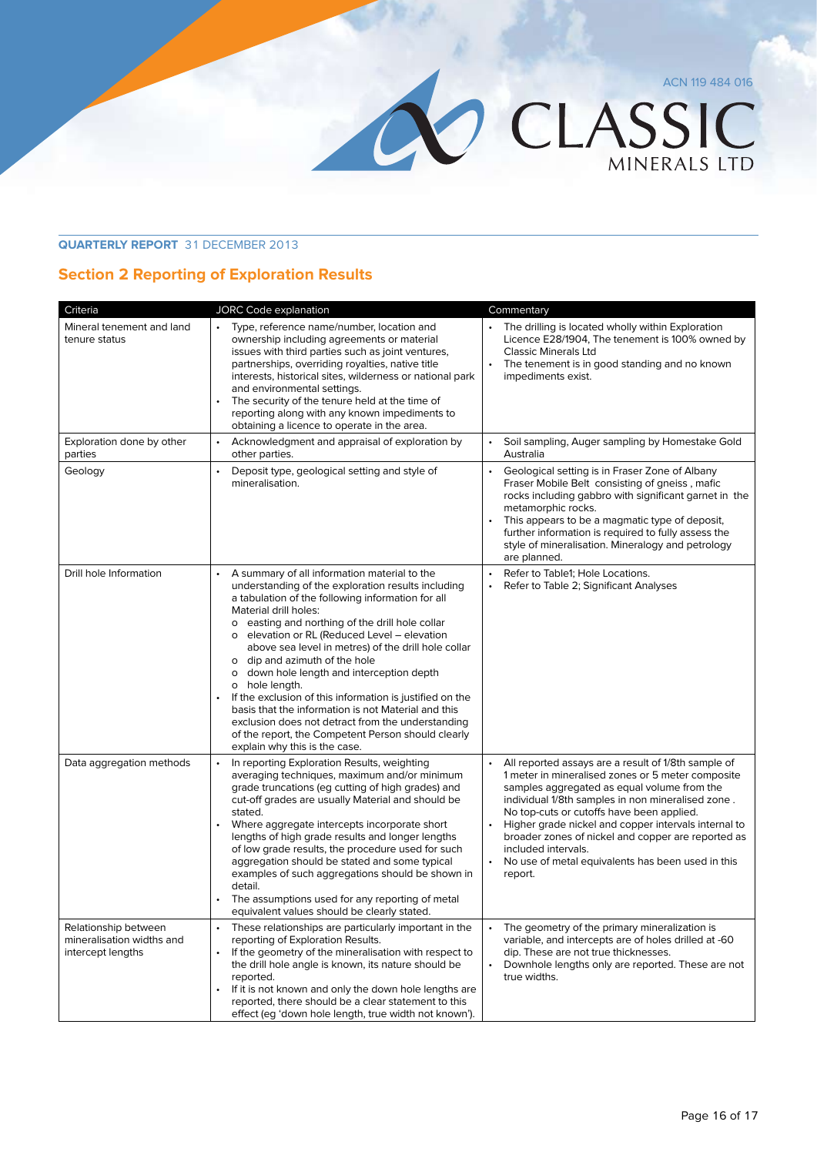

# **Section 2 Reporting of Exploration Results**

| Criteria                                                               | <b>JORC Code explanation</b>                                                                                                                                                                                                                                                                                                                                                                                                                                                                                                                                                                                                                                                                                                          | Commentary                                                                                                                                                                                                                                                                                                                                                                                                                                                                  |
|------------------------------------------------------------------------|---------------------------------------------------------------------------------------------------------------------------------------------------------------------------------------------------------------------------------------------------------------------------------------------------------------------------------------------------------------------------------------------------------------------------------------------------------------------------------------------------------------------------------------------------------------------------------------------------------------------------------------------------------------------------------------------------------------------------------------|-----------------------------------------------------------------------------------------------------------------------------------------------------------------------------------------------------------------------------------------------------------------------------------------------------------------------------------------------------------------------------------------------------------------------------------------------------------------------------|
| Mineral tenement and land<br>tenure status                             | Type, reference name/number, location and<br>ownership including agreements or material<br>issues with third parties such as joint ventures,<br>partnerships, overriding royalties, native title<br>interests, historical sites, wilderness or national park<br>and environmental settings.<br>The security of the tenure held at the time of<br>reporting along with any known impediments to<br>obtaining a licence to operate in the area.                                                                                                                                                                                                                                                                                         | The drilling is located wholly within Exploration<br>Licence E28/1904, The tenement is 100% owned by<br><b>Classic Minerals Ltd</b><br>The tenement is in good standing and no known<br>impediments exist.                                                                                                                                                                                                                                                                  |
| Exploration done by other<br>parties                                   | Acknowledgment and appraisal of exploration by<br>$\bullet$<br>other parties.                                                                                                                                                                                                                                                                                                                                                                                                                                                                                                                                                                                                                                                         | Soil sampling, Auger sampling by Homestake Gold<br>Australia                                                                                                                                                                                                                                                                                                                                                                                                                |
| Geology                                                                | Deposit type, geological setting and style of<br>mineralisation.                                                                                                                                                                                                                                                                                                                                                                                                                                                                                                                                                                                                                                                                      | Geological setting is in Fraser Zone of Albany<br>Fraser Mobile Belt consisting of gneiss, mafic<br>rocks including gabbro with significant garnet in the<br>metamorphic rocks.<br>This appears to be a magmatic type of deposit,<br>further information is required to fully assess the<br>style of mineralisation. Mineralogy and petrology<br>are planned.                                                                                                               |
| Drill hole Information                                                 | A summary of all information material to the<br>understanding of the exploration results including<br>a tabulation of the following information for all<br>Material drill holes:<br>o easting and northing of the drill hole collar<br>elevation or RL (Reduced Level – elevation<br>$\circ$<br>above sea level in metres) of the drill hole collar<br>dip and azimuth of the hole<br>o<br>down hole length and interception depth<br>o<br>o hole length.<br>If the exclusion of this information is justified on the<br>$\bullet$<br>basis that the information is not Material and this<br>exclusion does not detract from the understanding<br>of the report, the Competent Person should clearly<br>explain why this is the case. | Refer to Table1; Hole Locations.<br>$\bullet$<br>Refer to Table 2; Significant Analyses<br>$\bullet$                                                                                                                                                                                                                                                                                                                                                                        |
| Data aggregation methods                                               | In reporting Exploration Results, weighting<br>$\bullet$<br>averaging techniques, maximum and/or minimum<br>grade truncations (eg cutting of high grades) and<br>cut-off grades are usually Material and should be<br>stated.<br>Where aggregate intercepts incorporate short<br>lengths of high grade results and longer lengths<br>of low grade results, the procedure used for such<br>aggregation should be stated and some typical<br>examples of such aggregations should be shown in<br>detail.<br>The assumptions used for any reporting of metal<br>equivalent values should be clearly stated.                                                                                                                              | All reported assays are a result of 1/8th sample of<br>1 meter in mineralised zones or 5 meter composite<br>samples aggregated as equal volume from the<br>individual 1/8th samples in non mineralised zone.<br>No top-cuts or cutoffs have been applied.<br>Higher grade nickel and copper intervals internal to<br>broader zones of nickel and copper are reported as<br>included intervals.<br>No use of metal equivalents has been used in this<br>$\bullet$<br>report. |
| Relationship between<br>mineralisation widths and<br>intercept lengths | These relationships are particularly important in the<br>reporting of Exploration Results.<br>If the geometry of the mineralisation with respect to<br>the drill hole angle is known, its nature should be<br>reported.<br>If it is not known and only the down hole lengths are<br>$\bullet$<br>reported, there should be a clear statement to this<br>effect (eg 'down hole length, true width not known').                                                                                                                                                                                                                                                                                                                         | The geometry of the primary mineralization is<br>variable, and intercepts are of holes drilled at -60<br>dip. These are not true thicknesses.<br>Downhole lengths only are reported. These are not<br>$\bullet$<br>true widths.                                                                                                                                                                                                                                             |